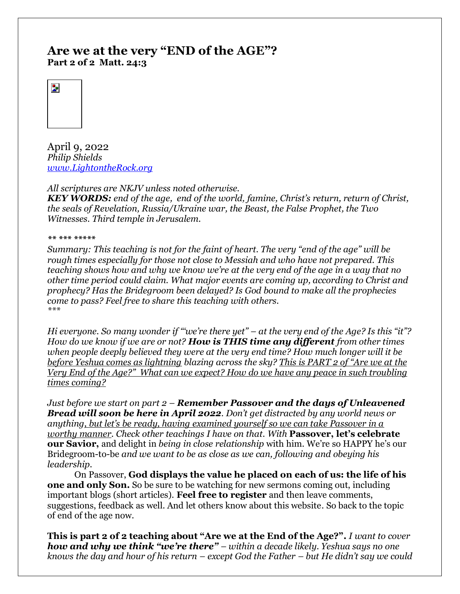# **Are we at the very "END of the AGE"? Part 2 of 2 Matt. 24:3**



April 9, 2022 *Philip Shields [www.LightontheRock.org](http://www.lightontherock.org/)*

*All scriptures are NKJV unless noted otherwise.* 

*KEY WORDS: end of the age, end of the world, famine, Christ's return, return of Christ, the seals of Revelation, Russia/Ukraine war, the Beast, the False Prophet, the Two Witnesses. Third temple in Jerusalem.* 

*\*\* \*\*\* \*\*\*\*\** 

*Summary: This teaching is not for the faint of heart. The very "end of the age" will be rough times especially for those not close to Messiah and who have not prepared. This teaching shows how and why we know we're at the very end of the age in a way that no other time period could claim. What major events are coming up, according to Christ and prophecy? Has the Bridegroom been delayed? Is God bound to make all the prophecies come to pass? Feel free to share this teaching with others. \*\*\**

*Hi everyone. So many wonder if "'we're there yet" – at the very end of the Age? Is this "it"? How do we know if we are or not? How is THIS time any different from other times when people deeply believed they were at the very end time? How much longer will it be before Yeshua comes as lightning blazing across the sky? This is PART 2 of "Are we at the Very End of the Age?" What can we expect? How do we have any peace in such troubling times coming?* 

*Just before we start on part 2 – Remember Passover and the days of Unleavened Bread will soon be here in April 2022. Don't get distracted by any world news or anything, but let's be ready, having examined yourself so we can take Passover in a worthy manner. Check other teachings I have on that. With* **Passover, let's celebrate our Savior,** and delight in *being in close relationship* with him. We're so HAPPY he's our Bridegroom-to-be *and we want to be as close as we can, following and obeying his leadership.*

On Passover, **God displays the value he placed on each of us: the life of his one and only Son.** So be sure to be watching for new sermons coming out, including important blogs (short articles). **Feel free to register** and then leave comments, suggestions, feedback as well. And let others know about this website. So back to the topic of end of the age now.

**This is part 2 of 2 teaching about "Are we at the End of the Age?".** *I want to cover how and why we think "we're there" – within a decade likely. Yeshua says no one knows the day and hour of his return – except God the Father – but He didn't say we could*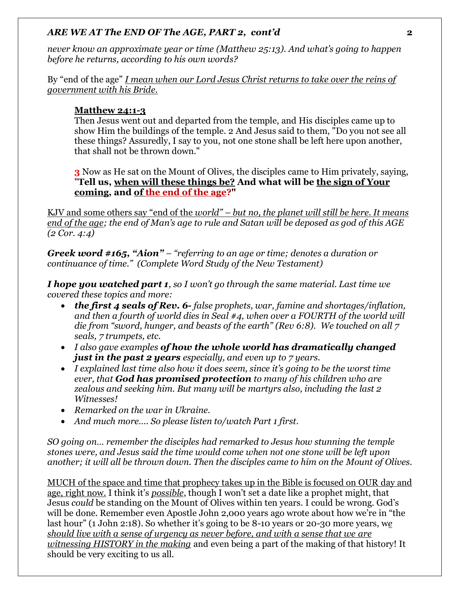*never know an approximate year or time (Matthew 25:13). And what's going to happen before he returns, according to his own words?*

By "end of the age" *I mean when our Lord Jesus Christ returns to take over the reins of government with his Bride.* 

## **Matthew 24:1-3**

Then Jesus went out and departed from the temple, and His disciples came up to show Him the buildings of the temple. 2 And Jesus said to them, "Do you not see all these things? Assuredly, I say to you, not one stone shall be left here upon another, that shall not be thrown down."

**3** Now as He sat on the Mount of Olives, the disciples came to Him privately, saying, "**Tell us, when will these things be? And what will be the sign of Your coming, and of the end of the age?"**

KJV and some others say "end of the *world" – but no, the planet will still be here. It means end of the age; the end of Man's age to rule and Satan will be deposed as god of this AGE (2 Cor. 4:4)* 

*Greek word #165, "Aion" – "referring to an age or time; denotes a duration or continuance of time." (Complete Word Study of the New Testament)* 

*I hope you watched part 1, so I won't go through the same material. Last time we covered these topics and more:*

- *the first 4 seals of Rev. 6- false prophets, war, famine and shortages/inflation, and then a fourth of world dies in Seal #4, when over a FOURTH of the world will die from "sword, hunger, and beasts of the earth" (Rev 6:8). We touched on all 7 seals, 7 trumpets, etc.*
- *I also gave examples of how the whole world has dramatically changed just in the past 2 years especially, and even up to 7 years.*
- *I explained last time also how it does seem, since it's going to be the worst time ever, that God has promised protection to many of his children who are zealous and seeking him. But many will be martyrs also, including the last 2 Witnesses!*
- *Remarked on the war in Ukraine.*
- *And much more…. So please listen to/watch Part 1 first.*

*SO going on… remember the disciples had remarked to Jesus how stunning the temple stones were, and Jesus said the time would come when not one stone will be left upon another; it will all be thrown down. Then the disciples came to him on the Mount of Olives.*

MUCH of the space and time that prophecy takes up in the Bible is focused on OUR day and age, right now. I think it's *possible*, though I won't set a date like a prophet might, that Jesus *could* be standing on the Mount of Olives within ten years. I could be wrong. God's will be done. Remember even Apostle John 2,000 years ago wrote about how we're in "the last hour" (1 John 2:18). So whether it's going to be 8-10 years or 20-30 more years, w*e should live with a sense of urgency as never before, and with a sense that we are witnessing HISTORY in the making* and even being a part of the making of that history! It should be very exciting to us all.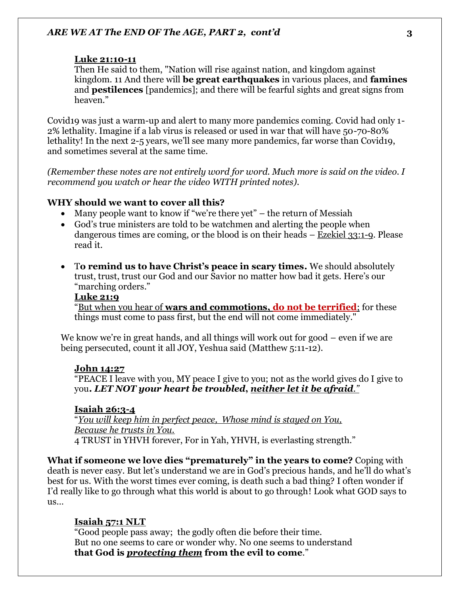#### **Luke 21:10-11**

Then He said to them, "Nation will rise against nation, and kingdom against kingdom. 11 And there will **be great earthquakes** in various places, and **famines** and **pestilences** [pandemics]; and there will be fearful sights and great signs from heaven."

Covid19 was just a warm-up and alert to many more pandemics coming. Covid had only 1- 2% lethality. Imagine if a lab virus is released or used in war that will have 50-70-80% lethality! In the next 2-5 years, we'll see many more pandemics, far worse than Covid19, and sometimes several at the same time.

*(Remember these notes are not entirely word for word. Much more is said on the video. I recommend you watch or hear the video WITH printed notes).* 

#### **WHY should we want to cover all this?**

- Many people want to know if "we're there yet" the return of Messiah
- God's true ministers are told to be watchmen and alerting the people when dangerous times are coming, or the blood is on their heads – Ezekiel 33:1-9. Please read it.
- T**o remind us to have Christ's peace in scary times.** We should absolutely trust, trust, trust our God and our Savior no matter how bad it gets. Here's our "marching orders."

## **Luke 21:9**

"But when you hear of **wars and commotions, do not be terrified**; for these things must come to pass first, but the end will not come immediately."

We know we're in great hands, and all things will work out for good – even if we are being persecuted, count it all JOY, Yeshua said (Matthew 5:11-12).

#### **John 14:27**

"PEACE I leave with you, MY peace I give to you; not as the world gives do I give to you**.** *LET NOT your heart be troubled***,** *neither let it be afraid."* 

#### **Isaiah 26:3-4**

"*You will keep him in perfect peace, Whose mind is stayed on You, Because he trusts in You.*  4 TRUST in YHVH forever, For in Yah, YHVH, is everlasting strength."

**What if someone we love dies "prematurely" in the years to come?** Coping with death is never easy. But let's understand we are in God's precious hands, and he'll do what's best for us. With the worst times ever coming, is death such a bad thing? I often wonder if I'd really like to go through what this world is about to go through! Look what GOD says to  $\overline{u}$ 

#### **Isaiah 57:1 NLT**

"Good people pass away; the godly often die before their time. But no one seems to care or wonder why. No one seems to understand **that God is** *protecting them* **from the evil to come**."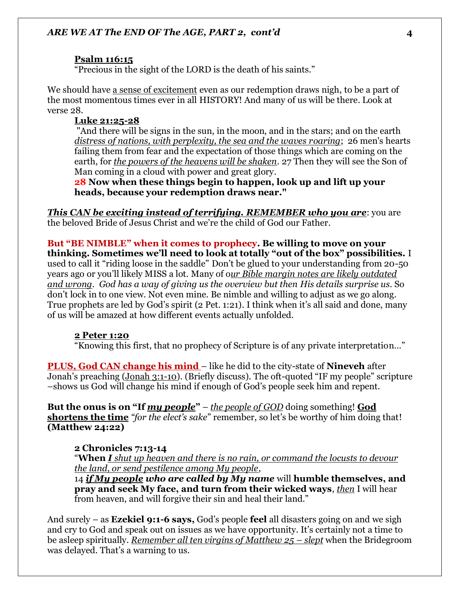#### **Psalm 116:15**

"Precious in the sight of the LORD is the death of his saints."

We should have a sense of excitement even as our redemption draws nigh, to be a part of the most momentous times ever in all HISTORY! And many of us will be there. Look at verse 28.

#### **Luke 21:25-28**

"And there will be signs in the sun, in the moon, and in the stars; and on the earth *distress of nations, with perplexity, the sea and the waves roaring*; 26 men's hearts failing them from fear and the expectation of those things which are coming on the earth, for *the powers of the heavens will be shaken*. 27 Then they will see the Son of Man coming in a cloud with power and great glory.

**28 Now when these things begin to happen, look up and lift up your heads, because your redemption draws near."** 

*This CAN be exciting instead of terrifying. REMEMBER who you are*: you are the beloved Bride of Jesus Christ and we're the child of God our Father.

**But "BE NIMBLE" when it comes to prophecy. Be willing to move on your thinking. Sometimes we'll need to look at totally "out of the box" possibilities.** I used to call it "riding loose in the saddle" Don't be glued to your understanding from 20-50 years ago or you'll likely MISS a lot. Many of o*ur Bible margin notes are likely outdated and wrong*. *God has a way of giving us the overview but then His details surprise us.* So don't lock in to one view. Not even mine. Be nimble and willing to adjust as we go along. True prophets are led by God's spirit (2 Pet. 1:21). I think when it's all said and done, many of us will be amazed at how different events actually unfolded.

#### **2 Peter 1:20**

"Knowing this first, that no prophecy of Scripture is of any private interpretation…"

**PLUS, God CAN change his mind** – like he did to the city-state of **Nineveh** after Jonah's preaching (Jonah 3:1-10). (Briefly discuss). The oft-quoted "IF my people" scripture –shows us God will change his mind if enough of God's people seek him and repent.

**But the onus is on "If** *my people***"** – *the people of GOD* doing something! **God shortens the time** *"for the elect's sake*" remember, so let's be worthy of him doing that! **(Matthew 24:22)**

#### **2 Chronicles 7:13-14**

"**When** *I shut up heaven and there is no rain, or command the locusts to devour the land, or send pestilence among My people*,

14 *if My people who are called by My name* will **humble themselves, and pray and seek My face, and turn from their wicked ways**, *then* I will hear from heaven, and will forgive their sin and heal their land."

And surely – as **Ezekiel 9:1-6 says,** God's people **feel** all disasters going on and we sigh and cry to God and speak out on issues as we have opportunity. It's certainly not a time to be asleep spiritually. *Remember all ten virgins of Matthew 25 – slept* when the Bridegroom was delayed. That's a warning to us.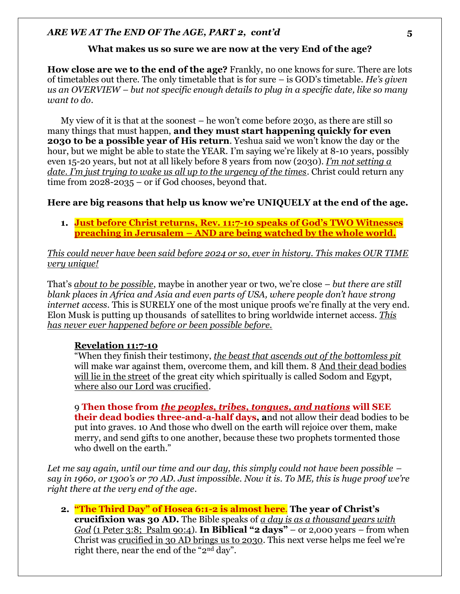### **What makes us so sure we are now at the very End of the age?**

**How close are we to the end of the age?** Frankly, no one knows for sure. There are lots of timetables out there. The only timetable that is for sure – is GOD's timetable. *He's given us an OVERVIEW – but not specific enough details to plug in a specific date, like so many want to do*.

My view of it is that at the soonest – he won't come before 2030, as there are still so many things that must happen, **and they must start happening quickly for even 2030 to be a possible year of His return**. Yeshua said we won't know the day or the hour, but we might be able to state the YEAR. I'm saying we're likely at 8-10 years, possibly even 15-20 years, but not at all likely before 8 years from now (2030). *I'm not setting a date. I'm just trying to wake us all up to the urgency of the times*. Christ could return any time from 2028-2035 – or if God chooses, beyond that.

### **Here are big reasons that help us know we're UNIQUELY at the end of the age.**

**1. Just before Christ returns, Rev. 11:7-10 speaks of God's TWO Witnesses preaching in Jerusalem – AND are being watched by the whole world.**

### *This could never have been said before 2024 or so, ever in history. This makes OUR TIME very unique!*

That's *about to be possible*, maybe in another year or two, we're close – *but there are still blank places in Africa and Asia and even parts of USA, where people don't have strong internet access*. This is SURELY one of the most unique proofs we're finally at the very end. Elon Musk is putting up thousands of satellites to bring worldwide internet access. *This has never ever happened before or been possible before.* 

#### **Revelation 11:7-10**

"When they finish their testimony, *the beast that ascends out of the bottomless pit* will make war against them, overcome them, and kill them. 8 And their dead bodies will lie in the street of the great city which spiritually is called Sodom and Egypt, where also our Lord was crucified.

9 **Then those from** *the peoples, tribes, tongues, and nations* **will SEE their dead bodies three-and-a-half days, a**nd not allow their dead bodies to be put into graves. 10 And those who dwell on the earth will rejoice over them, make merry, and send gifts to one another, because these two prophets tormented those who dwell on the earth."

*Let me say again, until our time and our day, this simply could not have been possible – say in 1960, or 1300's or 70 AD. Just impossible. Now it is. To ME, this is huge proof we're right there at the very end of the age.* 

**2. "The Third Day" of Hosea 6:1-2 is almost here**. **The year of Christ's crucifixion was 30 AD.** The Bible speaks of *a day is as a thousand years with God* (1 Peter 3:8; Psalm 90:4). **In Biblical "2 days"** – or 2,000 years – from when Christ was crucified in 30 AD brings us to 2030. This next verse helps me feel we're right there, near the end of the "2nd day".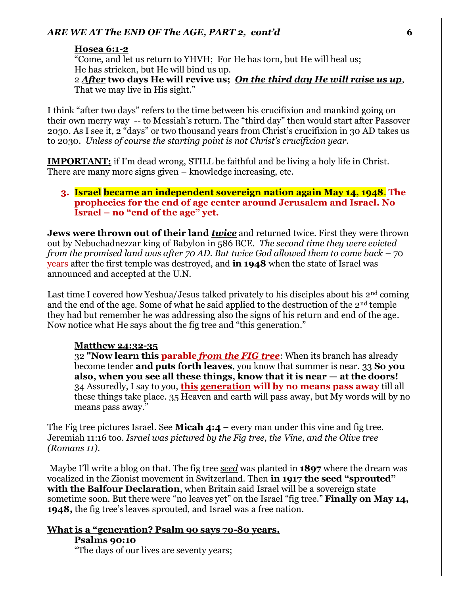#### **Hosea 6:1-2**

"Come, and let us return to YHVH; For He has torn, but He will heal us; He has stricken, but He will bind us up. 2 *After* **two days He will revive us;** *On the third day He will raise us up*, That we may live in His sight."

I think "after two days" refers to the time between his crucifixion and mankind going on their own merry way -- to Messiah's return. The "third day" then would start after Passover 2030. As I see it, 2 "days" or two thousand years from Christ's crucifixion in 30 AD takes us to 2030. *Unless of course the starting point is not Christ's crucifixion year.* 

**IMPORTANT:** if I'm dead wrong, STILL be faithful and be living a holy life in Christ. There are many more signs given – knowledge increasing, etc.

### **3. Israel became an independent sovereign nation again May 14, 1948**. **The prophecies for the end of age center around Jerusalem and Israel. No Israel – no "end of the age" yet.**

**Jews were thrown out of their land** *twice* and returned twice. First they were thrown out by Nebuchadnezzar king of Babylon in 586 BCE*. The second time they were evicted from the promised land was after 70 AD. But twice God allowed them to come back* – 70 years after the first temple was destroyed, and **in 1948** when the state of Israel was announced and accepted at the U.N.

Last time I covered how Yeshua/Jesus talked privately to his disciples about his  $2<sup>nd</sup>$  coming and the end of the age. Some of what he said applied to the destruction of the 2nd temple they had but remember he was addressing also the signs of his return and end of the age. Now notice what He says about the fig tree and "this generation."

#### **Matthew 24:32-35**

32 **"Now learn this parable** *from the FIG tree*: When its branch has already become tender **and puts forth leaves**, you know that summer is near. 33 **So you also, when you see all these things, know that it is near — at the doors!** 34 Assuredly, I say to you, **this generation will by no means pass away** till all these things take place. 35 Heaven and earth will pass away, but My words will by no means pass away."

The Fig tree pictures Israel. See **Micah 4:4** – every man under this vine and fig tree. Jeremiah 11:16 too. *Israel was pictured by the Fig tree, the Vine, and the Olive tree (Romans 11).*

Maybe I'll write a blog on that. The fig tree *seed* was planted in **1897** where the dream was vocalized in the Zionist movement in Switzerland. Then **in 1917 the seed "sprouted" with the Balfour Declaration**, when Britain said Israel will be a sovereign state sometime soon. But there were "no leaves yet" on the Israel "fig tree." **Finally on May 14, 1948,** the fig tree's leaves sprouted, and Israel was a free nation.

### **What is a "generation? Psalm 90 says 70-80 years. Psalms 90:10**

"The days of our lives are seventy years;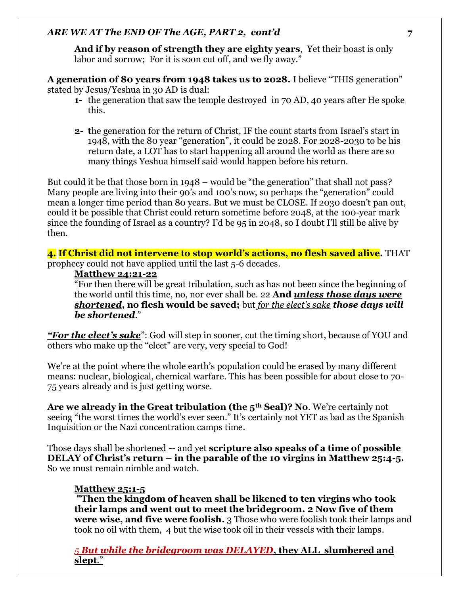**And if by reason of strength they are eighty years**, Yet their boast is only labor and sorrow; For it is soon cut off, and we fly away."

**A generation of 80 years from 1948 takes us to 2028.** I believe "THIS generation" stated by Jesus/Yeshua in 30 AD is dual:

- **1-** the generation that saw the temple destroyed in 70 AD, 40 years after He spoke this.
- **2- t**he generation for the return of Christ, IF the count starts from Israel's start in 1948, with the 80 year "generation", it could be 2028. For 2028-2030 to be his return date, a LOT has to start happening all around the world as there are so many things Yeshua himself said would happen before his return.

But could it be that those born in 1948 – would be "the generation" that shall not pass? Many people are living into their 90's and 100's now, so perhaps the "generation" could mean a longer time period than 80 years. But we must be CLOSE. If 2030 doesn't pan out, could it be possible that Christ could return sometime before 2048, at the 100-year mark since the founding of Israel as a country? I'd be 95 in 2048, so I doubt I'll still be alive by then.

**4. If Christ did not intervene to stop world's actions, no flesh saved alive.** THAT prophecy could not have applied until the last 5-6 decades.

### **Matthew 24:21-22**

"For then there will be great tribulation, such as has not been since the beginning of the world until this time, no, nor ever shall be. 22 **And** *unless those days were shortened***, no flesh would be saved;** but *for the elect's sake those days will be shortened*."

*"For the elect's sake*": God will step in sooner, cut the timing short, because of YOU and others who make up the "elect" are very, very special to God!

We're at the point where the whole earth's population could be erased by many different means: nuclear, biological, chemical warfare. This has been possible for about close to 70- 75 years already and is just getting worse.

**Are we already in the Great tribulation (the 5th Seal)? No**. We're certainly not seeing "the worst times the world's ever seen." It's certainly not YET as bad as the Spanish Inquisition or the Nazi concentration camps time.

Those days shall be shortened -- and yet **scripture also speaks of a time of possible DELAY of Christ's return – in the parable of the 10 virgins in Matthew 25:4-5.**  So we must remain nimble and watch.

## **Matthew 25:1-5**

**"Then the kingdom of heaven shall be likened to ten virgins who took their lamps and went out to meet the bridegroom. 2 Now five of them were wise, and five were foolish.** 3 Those who were foolish took their lamps and took no oil with them, 4 but the wise took oil in their vessels with their lamps.

*5 But while the bridegroom was DELAYED***, they ALL slumbered and slept**."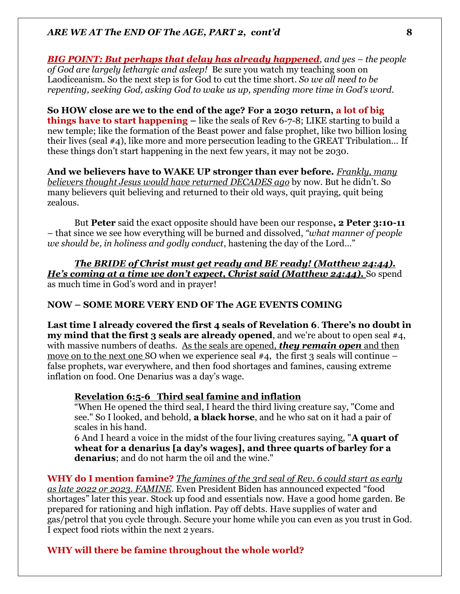*BIG POINT: But perhaps that delay has already happened, and yes – the people of God are largely lethargic and asleep!* Be sure you watch my teaching soon on Laodiceanism. So the next step is for God to cut the time short. *So we all need to be repenting, seeking God, asking God to wake us up, spending more time in God's word.* 

**So HOW close are we to the end of the age? For a 2030 return, a lot of big things have to start happening** – like the seals of Rev 6-7-8; LIKE starting to build a new temple; like the formation of the Beast power and false prophet, like two billion losing their lives (seal #4), like more and more persecution leading to the GREAT Tribulation… If these things don't start happening in the next few years, it may not be 2030.

**And we believers have to WAKE UP stronger than ever before.** *Frankly, many believers thought Jesus would have returned DECADES ago* by now. But he didn't. So many believers quit believing and returned to their old ways, quit praying, quit being zealous.

But **Peter** said the exact opposite should have been our response**, 2 Peter 3:10-11** – that since we see how everything will be burned and dissolved, *"what manner of people we should be, in holiness and godly conduct*, hastening the day of the Lord…"

*The BRIDE of Christ must get ready and BE ready! (Matthew 24:44). He's coming at a time we don't expect, Christ said (Matthew 24:44).* So spend as much time in God's word and in prayer!

## **NOW – SOME MORE VERY END OF The AGE EVENTS COMING**

**Last time I already covered the first 4 seals of Revelation 6**. **There's no doubt in my mind that the first 3 seals are already opened**, and we're about to open seal #4, with massive numbers of deaths. As the seals are opened, *they remain open* and then move on to the next one SO when we experience seal  $#4$ , the first 3 seals will continue – false prophets, war everywhere, and then food shortages and famines, causing extreme inflation on food. One Denarius was a day's wage.

#### **Revelation 6:5-6 Third seal famine and inflation**

"When He opened the third seal, I heard the third living creature say, "Come and see." So I looked, and behold, **a black horse**, and he who sat on it had a pair of scales in his hand.

6 And I heard a voice in the midst of the four living creatures saying, "**A quart of wheat for a denarius [a day's wages], and three quarts of barley for a denarius**; and do not harm the oil and the wine."

**WHY do I mention famine?** *The famines of the 3rd seal of Rev. 6 could start as early as late 2022 or 2023. FAMINE*. Even President Biden has announced expected "food shortages" later this year. Stock up food and essentials now. Have a good home garden. Be prepared for rationing and high inflation. Pay off debts. Have supplies of water and gas/petrol that you cycle through. Secure your home while you can even as you trust in God. I expect food riots within the next 2 years.

#### **WHY will there be famine throughout the whole world?**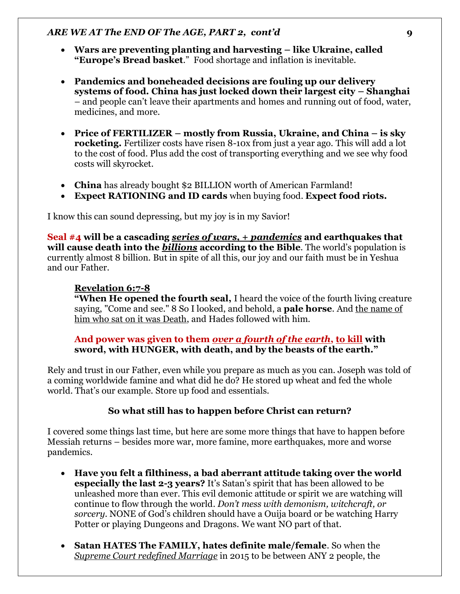- **Wars are preventing planting and harvesting – like Ukraine, called "Europe's Bread basket**." Food shortage and inflation is inevitable.
- **Pandemics and boneheaded decisions are fouling up our delivery systems of food. China has just locked down their largest city – Shanghai** – and people can't leave their apartments and homes and running out of food, water, medicines, and more.
- **Price of FERTILIZER – mostly from Russia, Ukraine, and China – is sky rocketing.** Fertilizer costs have risen 8-10x from just a year ago. This will add a lot to the cost of food. Plus add the cost of transporting everything and we see why food costs will skyrocket.
- **China** has already bought \$2 BILLION worth of American Farmland!
- **Expect RATIONING and ID cards** when buying food. **Expect food riots.**

I know this can sound depressing, but my joy is in my Savior!

**Seal #4 will be a cascading** *series of wars, + pandemics* **and earthquakes that will cause death into the** *billions* **according to the Bible**. The world's population is currently almost 8 billion. But in spite of all this, our joy and our faith must be in Yeshua and our Father.

### **Revelation 6:7-8**

**"When He opened the fourth seal,** I heard the voice of the fourth living creature saying, "Come and see." 8 So I looked, and behold, a **pale horse**. And the name of him who sat on it was Death, and Hades followed with him.

### **And power was given to them** *over a fourth of the earth***, to kill with sword, with HUNGER, with death, and by the beasts of the earth."**

Rely and trust in our Father, even while you prepare as much as you can. Joseph was told of a coming worldwide famine and what did he do? He stored up wheat and fed the whole world. That's our example. Store up food and essentials.

## **So what still has to happen before Christ can return?**

I covered some things last time, but here are some more things that have to happen before Messiah returns – besides more war, more famine, more earthquakes, more and worse pandemics.

- **Have you felt a filthiness, a bad aberrant attitude taking over the world especially the last 2-3 years?** It's Satan's spirit that has been allowed to be unleashed more than ever. This evil demonic attitude or spirit we are watching will continue to flow through the world. *Don't mess with demonism, witchcraft, or sorcery.* NONE of God's children should have a Ouija board or be watching Harry Potter or playing Dungeons and Dragons. We want NO part of that.
- **Satan HATES The FAMILY, hates definite male/female**. So when the *Supreme Court redefined Marriage* in 2015 to be between ANY 2 people, the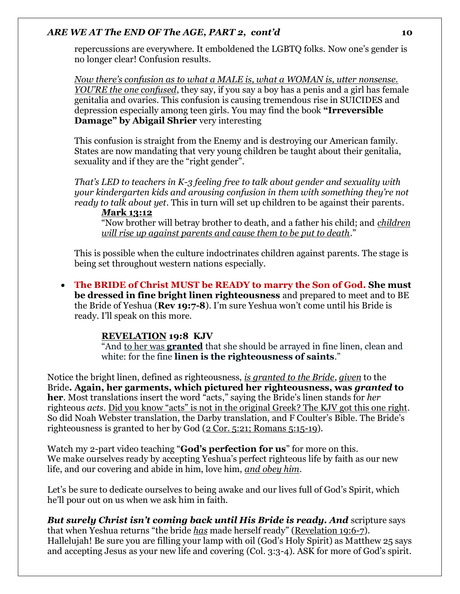repercussions are everywhere. It emboldened the LGBTQ folks. Now one's gender is no longer clear! Confusion results.

*Now there's confusion as to what a MALE is, what a WOMAN is, utter nonsense. YOU'RE the one confused*, they say, if you say a boy has a penis and a girl has female genitalia and ovaries. This confusion is causing tremendous rise in SUICIDES and depression especially among teen girls. You may find the book **"Irreversible Damage" by Abigail Shrier** very interesting

This confusion is straight from the Enemy and is destroying our American family. States are now mandating that very young children be taught about their genitalia, sexuality and if they are the "right gender".

*That's LED to teachers in K-3 feeling free to talk about gender and sexuality with your kindergarten kids and arousing confusion in them with something they're not ready to talk about yet*. This in turn will set up children to be against their parents.

*M***ark 13:12**

"Now brother will betray brother to death, and a father his child; and *children will rise up against parents and cause them to be put to death*."

This is possible when the culture indoctrinates children against parents. The stage is being set throughout western nations especially.

• **The BRIDE of Christ MUST be READY to marry the Son of God. She must be dressed in fine bright linen righteousness** and prepared to meet and to BE the Bride of Yeshua (**Rev 19:7-8**). I'm sure Yeshua won't come until his Bride is ready. I'll speak on this more.

## **[REVELATION](https://biblehub.com/kjv/revelation/19.htm) 19:8 KJV**

"And to her was **granted** that she should be arrayed in fine linen, clean and white: for the fine **linen is the righteousness of saints**."

Notice the bright linen, defined as righteousness, *is granted to the Bride*, *given* to the Bride**. Again, her garments, which pictured her righteousness, was** *granted* **to her**. Most translations insert the word "acts," saying the Bride's linen stands for *her* righteous *acts*. Did you know "acts" is not in the original Greek? The KJV got this one right. So did Noah Webster translation, the Darby translation, and F Coulter's Bible. The Bride's righteousness is granted to her by God  $(2 \text{ Cor. } 5:21; \text{ Romans } 5:15-19)$ .

Watch my 2-part video teaching "**God's perfection for us**" for more on this. We make ourselves ready by accepting Yeshua's perfect righteous life by faith as our new life, and our covering and abide in him, love him, *and obey him*.

Let's be sure to dedicate ourselves to being awake and our lives full of God's Spirit, which he'll pour out on us when we ask him in faith.

*But surely Christ isn't coming back until His Bride is ready. And* scripture says that when Yeshua returns "the bride *has* made herself ready" (Revelation 19:6-7). Hallelujah! Be sure you are filling your lamp with oil (God's Holy Spirit) as Matthew 25 says and accepting Jesus as your new life and covering (Col. 3:3-4). ASK for more of God's spirit.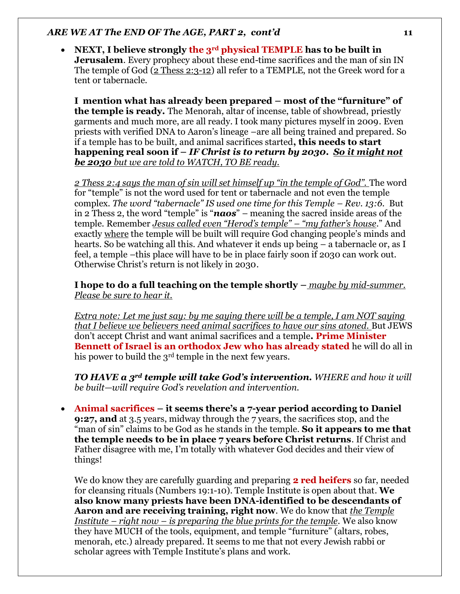• **NEXT, I believe strongly the 3rd physical TEMPLE has to be built in Jerusalem**. Every prophecy about these end-time sacrifices and the man of sin IN The temple of God (2 Thess 2:3-12) all refer to a TEMPLE, not the Greek word for a tent or tabernacle.

**I mention what has already been prepared – most of the "furniture" of the temple is ready.** The Menorah, altar of incense, table of showbread, priestly garments and much more, are all ready. I took many pictures myself in 2009. Even priests with verified DNA to Aaron's lineage –are all being trained and prepared. So if a temple has to be built, and animal sacrifices started**, this needs to start happening real soon if –** *IF Christ is to return by 2030***.** *So it might not be 2030 but we are told to WATCH, TO BE ready.* 

*2 Thess 2:4 says the man of sin will set himself up "in the temple of God".* The word for "temple" is not the word used for tent or tabernacle and not even the temple complex. *The word "tabernacle" IS used one time for this Temple – Rev. 13:6*. But in 2 Thess 2, the word "temple" is "*naos*" – meaning the sacred inside areas of the temple. Remember *Jesus called even "Herod's temple" – "my father's house*." And exactly where the temple will be built will require God changing people's minds and hearts. So be watching all this. And whatever it ends up being – a tabernacle or, as I feel, a temple –this place will have to be in place fairly soon if 2030 can work out. Otherwise Christ's return is not likely in 2030.

**I hope to do a full teaching on the temple shortly –** *maybe by mid-summer. Please be sure to hear it.* 

*Extra note: Let me just say: by me saying there will be a temple, I am NOT saying that I believe we believers need animal sacrifices to have our sins atoned.* But JEWS don't accept Christ and want animal sacrifices and a temple**. Prime Minister Bennett of Israel is an orthodox Jew who has already stated** he will do all in his power to build the 3<sup>rd</sup> temple in the next few years.

*TO HAVE a 3rd temple will take God's intervention. WHERE and how it will be built—will require God's revelation and intervention.* 

• **Animal sacrifices – it seems there's a 7-year period according to Daniel 9:27, and** at 3.5 years, midway through the 7 years, the sacrifices stop, and the "man of sin" claims to be God as he stands in the temple. **So it appears to me that the temple needs to be in place 7 years before Christ returns**. If Christ and Father disagree with me, I'm totally with whatever God decides and their view of things!

We do know they are carefully guarding and preparing **2 red heifers** so far, needed for cleansing rituals (Numbers 19:1-10). Temple Institute is open about that. **We also know many priests have been DNA-identified to be descendants of Aaron and are receiving training, right now**. We do know that *the Temple Institute – right now – is preparing the blue prints for the temple*. We also know they have MUCH of the tools, equipment, and temple "furniture" (altars, robes, menorah, etc.) already prepared. It seems to me that not every Jewish rabbi or scholar agrees with Temple Institute's plans and work.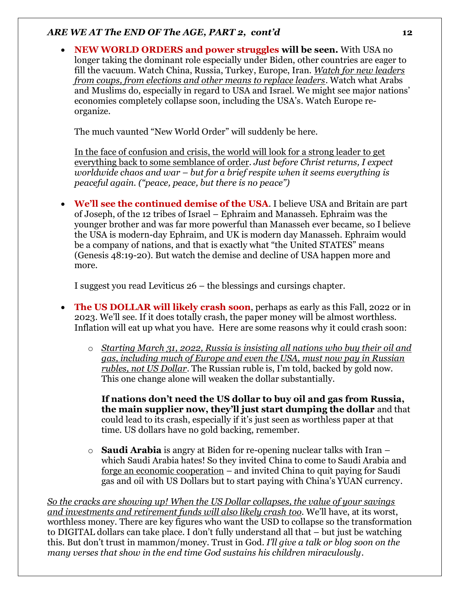• **NEW WORLD ORDERS and power struggles will be seen.** With USA no longer taking the dominant role especially under Biden, other countries are eager to fill the vacuum. Watch China, Russia, Turkey, Europe, Iran. *Watch for new leaders from coups, from elections and other means to replace leaders*. Watch what Arabs and Muslims do, especially in regard to USA and Israel. We might see major nations' economies completely collapse soon, including the USA's. Watch Europe reorganize.

The much vaunted "New World Order" will suddenly be here.

In the face of confusion and crisis, the world will look for a strong leader to get everything back to some semblance of order. *Just before Christ returns, I expect worldwide chaos and war – but for a brief respite when it seems everything is peaceful again. ("peace, peace, but there is no peace")*

• **We'll see the continued demise of the USA**. I believe USA and Britain are part of Joseph, of the 12 tribes of Israel – Ephraim and Manasseh. Ephraim was the younger brother and was far more powerful than Manasseh ever became, so I believe the USA is modern-day Ephraim, and UK is modern day Manasseh. Ephraim would be a company of nations, and that is exactly what "the United STATES" means (Genesis 48:19-20). But watch the demise and decline of USA happen more and more.

I suggest you read Leviticus 26 – the blessings and cursings chapter.

- **The US DOLLAR will likely crash soon**, perhaps as early as this Fall, 2022 or in 2023. We'll see. If it does totally crash, the paper money will be almost worthless. Inflation will eat up what you have. Here are some reasons why it could crash soon:
	- o *Starting March 31, 2022, Russia is insisting all nations who buy their oil and gas, including much of Europe and even the USA, must now pay in Russian rubles, not US Dollar*. The Russian ruble is, I'm told, backed by gold now. This one change alone will weaken the dollar substantially.

**If nations don't need the US dollar to buy oil and gas from Russia, the main supplier now, they'll just start dumping the dollar** and that could lead to its crash, especially if it's just seen as worthless paper at that time. US dollars have no gold backing, remember.

o **Saudi Arabia** is angry at Biden for re-opening nuclear talks with Iran – which Saudi Arabia hates! So they invited China to come to Saudi Arabia and forge an economic cooperation – and invited China to quit paying for Saudi gas and oil with US Dollars but to start paying with China's YUAN currency.

*So the cracks are showing up! When the US Dollar collapses, the value of your savings and investments and retirement funds will also likely crash too*. We'll have, at its worst, worthless money. There are key figures who want the USD to collapse so the transformation to DIGITAL dollars can take place. I don't fully understand all that – but just be watching this. But don't trust in mammon/money. Trust in God. *I'll give a talk or blog soon on the many verses that show in the end time God sustains his children miraculously*.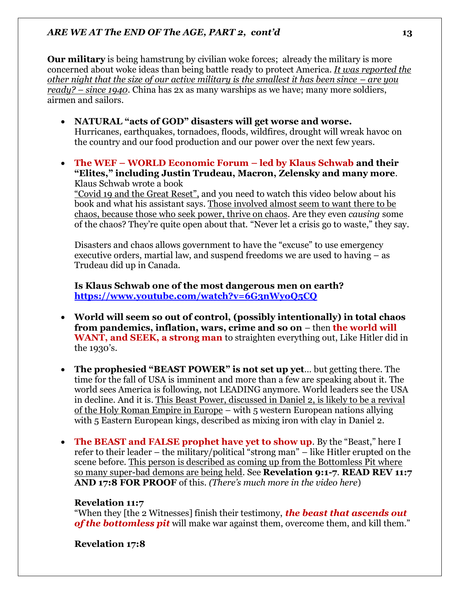**Our military** is being hamstrung by civilian woke forces; already the military is more concerned about woke ideas than being battle ready to protect America. *It was reported the other night that the size of our active military is the smallest it has been since – are you ready? – since 1940*. China has 2x as many warships as we have; many more soldiers, airmen and sailors.

- **NATURAL "acts of GOD" disasters will get worse and worse.**  Hurricanes, earthquakes, tornadoes, floods, wildfires, drought will wreak havoc on the country and our food production and our power over the next few years.
- **The WEF – WORLD Economic Forum – led by Klaus Schwab and their "Elites," including Justin Trudeau, Macron, Zelensky and many more**. Klaus Schwab wrote a book

"Covid 19 and the Great Reset", and you need to watch this video below about his book and what his assistant says. Those involved almost seem to want there to be chaos, because those who seek power, thrive on chaos. Are they even *causing* some of the chaos? They're quite open about that. "Never let a crisis go to waste," they say.

Disasters and chaos allows government to have the "excuse" to use emergency executive orders, martial law, and suspend freedoms we are used to having – as Trudeau did up in Canada.

**Is Klaus Schwab one of the most dangerous men on earth? <https://www.youtube.com/watch?v=6G3nWyoQ5CQ>**

- **World will seem so out of control, (possibly intentionally) in total chaos from pandemics, inflation, wars, crime and so on** – then **the world will WANT, and SEEK, a strong man** to straighten everything out, Like Hitler did in the 1930's.
- **The prophesied "BEAST POWER" is not set up yet**… but getting there. The time for the fall of USA is imminent and more than a few are speaking about it. The world sees America is following, not LEADING anymore. World leaders see the USA in decline. And it is. This Beast Power, discussed in Daniel 2, is likely to be a revival of the Holy Roman Empire in Europe – with 5 western European nations allying with 5 Eastern European kings, described as mixing iron with clay in Daniel 2.
- **The BEAST and FALSE prophet have yet to show up**. By the "Beast," here I refer to their leader – the military/political "strong man" – like Hitler erupted on the scene before. This person is described as coming up from the Bottomless Pit where so many super-bad demons are being held. See **Revelation 9:1-7**. **READ REV 11:7 AND 17:8 FOR PROOF** of this. *(There's much more in the video here*)

## **Revelation 11:7**

"When they [the 2 Witnesses] finish their testimony, *the beast that ascends out of the bottomless pit* will make war against them, overcome them, and kill them."

## **Revelation 17:8**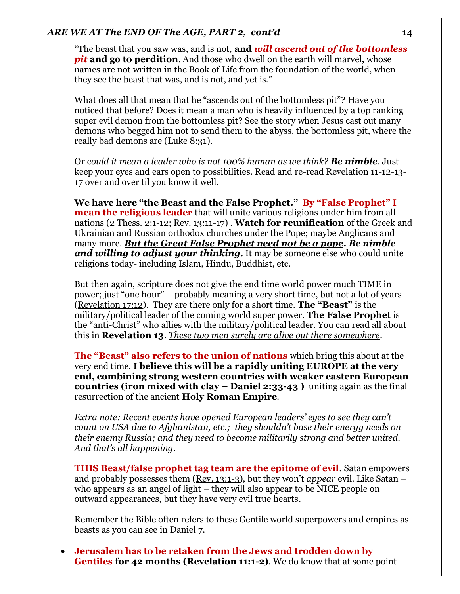"The beast that you saw was, and is not, **and** *will ascend out of the bottomless pit* and go to perdition. And those who dwell on the earth will marvel, whose names are not written in the Book of Life from the foundation of the world, when they see the beast that was, and is not, and yet is."

What does all that mean that he "ascends out of the bottomless pit"? Have you noticed that before? Does it mean a man who is heavily influenced by a top ranking super evil demon from the bottomless pit? See the story when Jesus cast out many demons who begged him not to send them to the abyss, the bottomless pit, where the really bad demons are (Luke 8:31).

Or c*ould it mean a leader who is not 100% human as we think? Be nimble*. Just keep your eyes and ears open to possibilities. Read and re-read Revelation 11-12-13- 17 over and over til you know it well.

**We have here "the Beast and the False Prophet." By "False Prophet" I mean the religious leader** that will unite various religions under him from all nations (2 Thess. 2:1-12; Rev. 13:11-17) . **Watch for reunification** of the Greek and Ukrainian and Russian orthodox churches under the Pope; maybe Anglicans and many more. *But the Great False Prophet need not be a pope. Be nimble and willing to adjust your thinking***.** It may be someone else who could unite religions today- including Islam, Hindu, Buddhist, etc.

But then again, scripture does not give the end time world power much TIME in power; just "one hour" – probably meaning a very short time, but not a lot of years (Revelation 17:12). They are there only for a short time. **The "Beast"** is the military/political leader of the coming world super power. **The False Prophet** is the "anti-Christ" who allies with the military/political leader. You can read all about this in **Revelation 13**. *These two men surely are alive out there somewhere*.

**The "Beast" also refers to the union of nations** which bring this about at the very end time. **I believe this will be a rapidly uniting EUROPE at the very end, combining strong western countries with weaker eastern European countries (iron mixed with clay – Daniel 2:33-43 )** uniting again as the final resurrection of the ancient **Holy Roman Empire**.

*Extra note: Recent events have opened European leaders' eyes to see they can't count on USA due to Afghanistan, etc.; they shouldn't base their energy needs on their enemy Russia; and they need to become militarily strong and better united. And that's all happening.* 

**THIS Beast/false prophet tag team are the epitome of evil**. Satan empowers and probably possesses them (Rev. 13:1-3), but they won't *appear* evil. Like Satan – who appears as an angel of light – they will also appear to be NICE people on outward appearances, but they have very evil true hearts.

Remember the Bible often refers to these Gentile world superpowers and empires as beasts as you can see in Daniel 7.

• **Jerusalem has to be retaken from the Jews and trodden down by Gentiles for 42 months (Revelation 11:1-2)**. We do know that at some point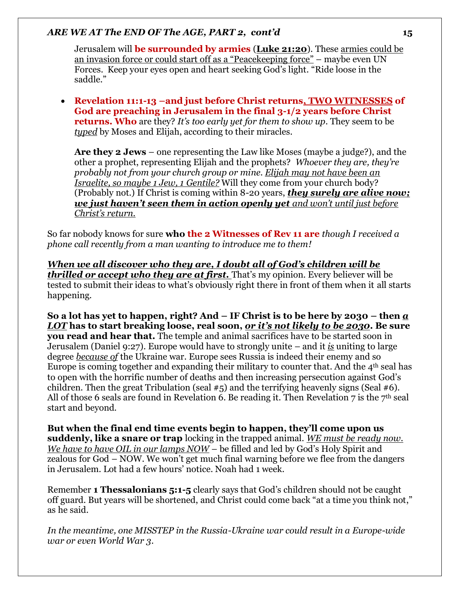Jerusalem will **be surrounded by armies** (**Luke 21:20**). These armies could be an invasion force or could start off as a "Peacekeeping force" – maybe even UN Forces. Keep your eyes open and heart seeking God's light. "Ride loose in the saddle."

• **Revelation 11:1-13 –and just before Christ returns, TWO WITNESSES of God are preaching in Jerusalem in the final 3-1/2 years before Christ returns. Who** are they? *It's too early yet for them to show up*. They seem to be *typed* by Moses and Elijah, according to their miracles.

**Are they 2 Jews** – one representing the Law like Moses (maybe a judge?), and the other a prophet, representing Elijah and the prophets? *Whoever they are, they're probably not from your church group or mine. Elijah may not have been an Israelite, so maybe 1 Jew, 1 Gentile?* Will they come from your church body? (Probably not.) If Christ is coming within 8-20 years, *they surely are alive now; we just haven't seen them in action openly yet and won't until just before Christ's return.*

So far nobody knows for sure **who the 2 Witnesses of Rev 11 are** *though I received a phone call recently from a man wanting to introduce me to them!*

*When we all discover who they are, I doubt all of God's children will be thrilled or accept who they are at first.* That's my opinion. Every believer will be tested to submit their ideas to what's obviously right there in front of them when it all starts happening.

**So a lot has yet to happen, right? And – IF Christ is to be here by 2030 – then** *a LOT* **has to start breaking loose, real soon,** *or it's not likely to be 2030***. Be sure you read and hear that.** The temple and animal sacrifices have to be started soon in Jerusalem (Daniel 9:27). Europe would have to strongly unite – and it *is* uniting to large degree *because of* the Ukraine war. Europe sees Russia is indeed their enemy and so Europe is coming together and expanding their military to counter that. And the  $4<sup>th</sup>$  seal has to open with the horrific number of deaths and then increasing persecution against God's children. Then the great Tribulation (seal  $#5$ ) and the terrifying heavenly signs (Seal  $#6$ ). All of those 6 seals are found in Revelation 6. Be reading it. Then Revelation 7 is the  $7<sup>th</sup>$  seal start and beyond.

**But when the final end time events begin to happen, they'll come upon us suddenly, like a snare or trap** locking in the trapped animal. *WE must be ready now. We have to have OIL in our lamps NOW* – be filled and led by God's Holy Spirit and zealous for God – NOW. We won't get much final warning before we flee from the dangers in Jerusalem. Lot had a few hours' notice. Noah had 1 week.

Remember **1 Thessalonians 5:1-5** clearly says that God's children should not be caught off guard. But years will be shortened, and Christ could come back "at a time you think not," as he said.

*In the meantime, one MISSTEP in the Russia-Ukraine war could result in a Europe-wide war or even World War 3.*